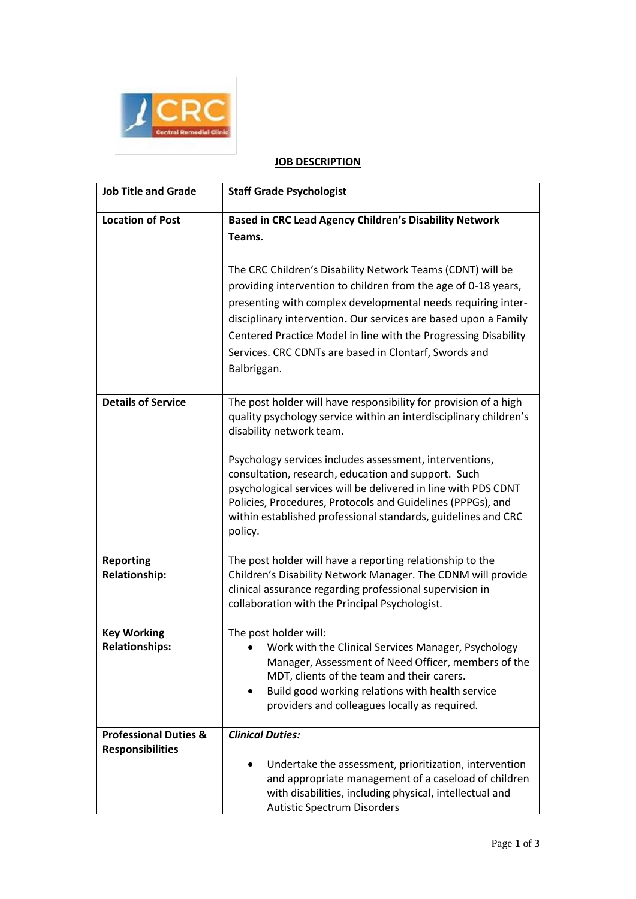

## **JOB DESCRIPTION**

| <b>Job Title and Grade</b>                                  | <b>Staff Grade Psychologist</b>                                                                                                                                                                                                                                                                                                                                                                                                                                                                  |
|-------------------------------------------------------------|--------------------------------------------------------------------------------------------------------------------------------------------------------------------------------------------------------------------------------------------------------------------------------------------------------------------------------------------------------------------------------------------------------------------------------------------------------------------------------------------------|
| <b>Location of Post</b>                                     | Based in CRC Lead Agency Children's Disability Network<br>Teams.<br>The CRC Children's Disability Network Teams (CDNT) will be<br>providing intervention to children from the age of 0-18 years,<br>presenting with complex developmental needs requiring inter-<br>disciplinary intervention. Our services are based upon a Family<br>Centered Practice Model in line with the Progressing Disability<br>Services. CRC CDNTs are based in Clontarf, Swords and<br>Balbriggan.                   |
| <b>Details of Service</b>                                   | The post holder will have responsibility for provision of a high<br>quality psychology service within an interdisciplinary children's<br>disability network team.<br>Psychology services includes assessment, interventions,<br>consultation, research, education and support. Such<br>psychological services will be delivered in line with PDS CDNT<br>Policies, Procedures, Protocols and Guidelines (PPPGs), and<br>within established professional standards, guidelines and CRC<br>policy. |
| <b>Reporting</b><br><b>Relationship:</b>                    | The post holder will have a reporting relationship to the<br>Children's Disability Network Manager. The CDNM will provide<br>clinical assurance regarding professional supervision in<br>collaboration with the Principal Psychologist.                                                                                                                                                                                                                                                          |
| <b>Key Working</b><br><b>Relationships:</b>                 | The post holder will:<br>Work with the Clinical Services Manager, Psychology<br>Manager, Assessment of Need Officer, members of the<br>MDT, clients of the team and their carers.<br>Build good working relations with health service<br>providers and colleagues locally as required.                                                                                                                                                                                                           |
| <b>Professional Duties &amp;</b><br><b>Responsibilities</b> | <b>Clinical Duties:</b><br>Undertake the assessment, prioritization, intervention<br>and appropriate management of a caseload of children<br>with disabilities, including physical, intellectual and<br><b>Autistic Spectrum Disorders</b>                                                                                                                                                                                                                                                       |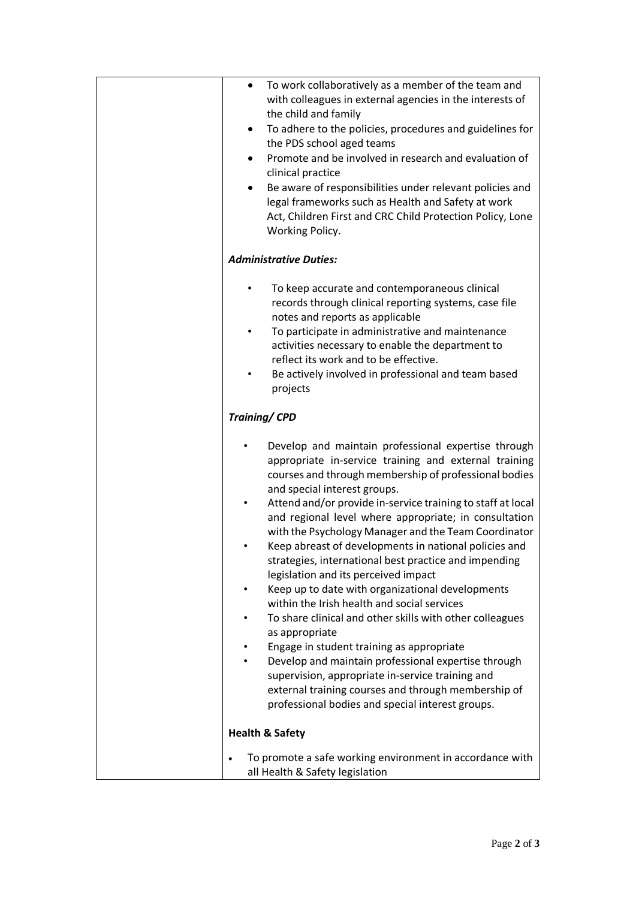| To work collaboratively as a member of the team and<br>$\bullet$<br>with colleagues in external agencies in the interests of<br>the child and family<br>To adhere to the policies, procedures and guidelines for<br>٠<br>the PDS school aged teams<br>Promote and be involved in research and evaluation of<br>٠<br>clinical practice<br>Be aware of responsibilities under relevant policies and<br>٠<br>legal frameworks such as Health and Safety at work<br>Act, Children First and CRC Child Protection Policy, Lone<br>Working Policy.                                                                                                                                                                                                                                                                                                                                                                                                                                                                     |
|------------------------------------------------------------------------------------------------------------------------------------------------------------------------------------------------------------------------------------------------------------------------------------------------------------------------------------------------------------------------------------------------------------------------------------------------------------------------------------------------------------------------------------------------------------------------------------------------------------------------------------------------------------------------------------------------------------------------------------------------------------------------------------------------------------------------------------------------------------------------------------------------------------------------------------------------------------------------------------------------------------------|
| <b>Administrative Duties:</b>                                                                                                                                                                                                                                                                                                                                                                                                                                                                                                                                                                                                                                                                                                                                                                                                                                                                                                                                                                                    |
| To keep accurate and contemporaneous clinical<br>records through clinical reporting systems, case file<br>notes and reports as applicable<br>To participate in administrative and maintenance<br>$\bullet$<br>activities necessary to enable the department to<br>reflect its work and to be effective.<br>Be actively involved in professional and team based<br>projects                                                                                                                                                                                                                                                                                                                                                                                                                                                                                                                                                                                                                                       |
| <b>Training/CPD</b>                                                                                                                                                                                                                                                                                                                                                                                                                                                                                                                                                                                                                                                                                                                                                                                                                                                                                                                                                                                              |
| Develop and maintain professional expertise through<br>appropriate in-service training and external training<br>courses and through membership of professional bodies<br>and special interest groups.<br>Attend and/or provide in-service training to staff at local<br>$\bullet$<br>and regional level where appropriate; in consultation<br>with the Psychology Manager and the Team Coordinator<br>Keep abreast of developments in national policies and<br>strategies, international best practice and impending<br>legislation and its perceived impact<br>Keep up to date with organizational developments<br>within the Irish health and social services<br>To share clinical and other skills with other colleagues<br>as appropriate<br>Engage in student training as appropriate<br>Develop and maintain professional expertise through<br>supervision, appropriate in-service training and<br>external training courses and through membership of<br>professional bodies and special interest groups. |
| <b>Health &amp; Safety</b>                                                                                                                                                                                                                                                                                                                                                                                                                                                                                                                                                                                                                                                                                                                                                                                                                                                                                                                                                                                       |
| To promote a safe working environment in accordance with<br>$\bullet$<br>all Health & Safety legislation                                                                                                                                                                                                                                                                                                                                                                                                                                                                                                                                                                                                                                                                                                                                                                                                                                                                                                         |